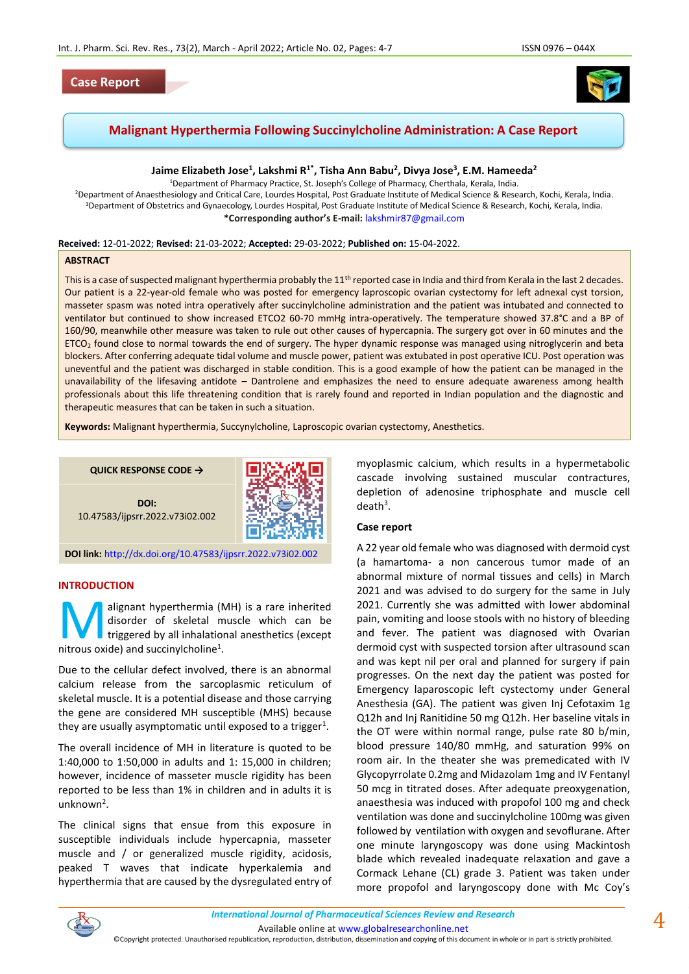# **Case Report**



# **Malignant Hyperthermia Following Succinylcholine Administration: A Case Report**

# **Jaime Elizabeth Jose<sup>1</sup> , Lakshmi R1\* , Tisha Ann Babu<sup>2</sup> , Divya Jose<sup>3</sup> , E.M. Hameeda<sup>2</sup>**

<sup>1</sup>Department of Pharmacy Practice, St. Joseph's College of Pharmacy, Cherthala, Kerala, India. <sup>2</sup>Department of Anaesthesiology and Critical Care, Lourdes Hospital, Post Graduate Institute of Medical Science & Research, Kochi, Kerala, India. <sup>3</sup>Department of Obstetrics and Gynaecology, Lourdes Hospital, Post Graduate Institute of Medical Science & Research, Kochi, Kerala, India. **\*Corresponding author's E-mail:** [lakshmir87@gmail.com](mailto:lakshmir87@gmail.com)

#### **Received:** 12-01-2022; **Revised:** 21-03-2022; **Accepted:** 29-03-2022; **Published on:** 15-04-2022.

#### **ABSTRACT**

This is a case of suspected malignant hyperthermia probably the 11<sup>th</sup> reported case in India and third from Kerala in the last 2 decades. Our patient is a 22-year-old female who was posted for emergency laproscopic ovarian cystectomy for left adnexal cyst torsion, masseter spasm was noted intra operatively after succinylcholine administration and the patient was intubated and connected to ventilator but continued to show increased ETCO2 60-70 mmHg intra-operatively. The temperature showed 37.8°C and a BP of 160/90, meanwhile other measure was taken to rule out other causes of hypercapnia. The surgery got over in 60 minutes and the ETCO<sub>2</sub> found close to normal towards the end of surgery. The hyper dynamic response was managed using nitroglycerin and beta blockers. After conferring adequate tidal volume and muscle power, patient was extubated in post operative ICU. Post operation was uneventful and the patient was discharged in stable condition. This is a good example of how the patient can be managed in the unavailability of the lifesaving antidote – Dantrolene and emphasizes the need to ensure adequate awareness among health professionals about this life threatening condition that is rarely found and reported in Indian population and the diagnostic and therapeutic measures that can be taken in such a situation.

**Keywords:** Malignant hyperthermia, Succynylcholine, Laproscopic ovarian cystectomy, Anesthetics.

**QUICK RESPONSE CODE →**

**DOI:** 10.47583/ijpsrr.2022.v73i02.002



**DOI link:** <http://dx.doi.org/10.47583/ijpsrr.2022.v73i02.002>

### **INTRODUCTION**

alignant hyperthermia (MH) is a rare inherited disorder of skeletal muscle which can be triggered by all inhalational anesthetics (except Malignant hyperthermia (Malisorder of skeletal marrious oxide) and succinylcholine<sup>1</sup>.

Due to the cellular defect involved, there is an abnormal calcium release from the sarcoplasmic reticulum of skeletal muscle. It is a potential disease and those carrying the gene are considered MH susceptible (MHS) because they are usually asymptomatic until exposed to a trigger<sup>1</sup>.

The overall incidence of MH in literature is quoted to be 1:40,000 to 1:50,000 in adults and 1: 15,000 in children; however, incidence of masseter muscle rigidity has been reported to be less than 1% in children and in adults it is unknown<sup>2</sup>.

The clinical signs that ensue from this exposure in susceptible individuals include hypercapnia, masseter muscle and / or generalized muscle rigidity, acidosis, peaked T waves that indicate hyperkalemia and hyperthermia that are caused by the dysregulated entry of myoplasmic calcium, which results in a hypermetabolic cascade involving sustained muscular contractures, depletion of adenosine triphosphate and muscle cell  $death<sup>3</sup>$ .

#### **Case report**

A 22 year old female who was diagnosed with dermoid cyst (a hamartoma- a non cancerous tumor made of an abnormal mixture of normal tissues and cells) in March 2021 and was advised to do surgery for the same in July 2021. Currently she was admitted with lower abdominal pain, vomiting and loose stools with no history of bleeding and fever. The patient was diagnosed with Ovarian dermoid cyst with suspected torsion after ultrasound scan and was kept nil per oral and planned for surgery if pain progresses. On the next day the patient was posted for Emergency laparoscopic left cystectomy under General Anesthesia (GA). The patient was given Inj Cefotaxim 1g Q12h and Inj Ranitidine 50 mg Q12h. Her baseline vitals in the OT were within normal range, pulse rate 80 b/min, blood pressure 140/80 mmHg, and saturation 99% on room air. In the theater she was premedicated with IV Glycopyrrolate 0.2mg and Midazolam 1mg and IV Fentanyl 50 mcg in titrated doses. After adequate preoxygenation, anaesthesia was induced with propofol 100 mg and check ventilation was done and succinylcholine 100mg was given followed by ventilation with oxygen and sevoflurane. After one minute laryngoscopy was done using Mackintosh blade which revealed inadequate relaxation and gave a Cormack Lehane (CL) grade 3. Patient was taken under more propofol and laryngoscopy done with Mc Coy's



Available online a[t www.globalresearchonline.net](http://www.globalresearchonline.net/)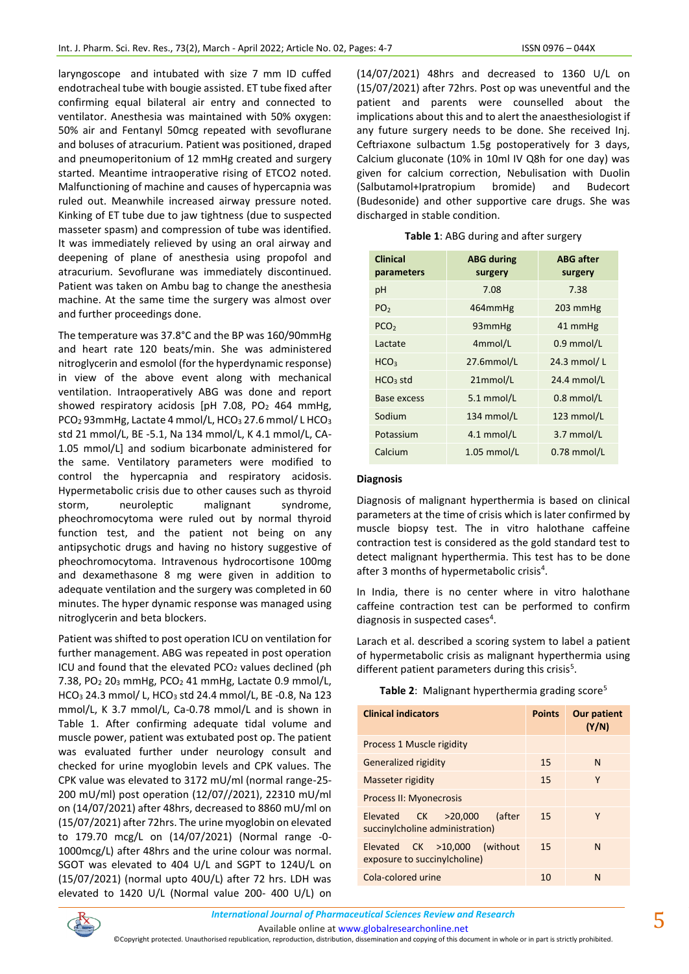laryngoscope and intubated with size 7 mm ID cuffed endotracheal tube with bougie assisted. ET tube fixed after confirming equal bilateral air entry and connected to ventilator. Anesthesia was maintained with 50% oxygen: 50% air and Fentanyl 50mcg repeated with sevoflurane and boluses of atracurium. Patient was positioned, draped and pneumoperitonium of 12 mmHg created and surgery started. Meantime intraoperative rising of ETCO2 noted. Malfunctioning of machine and causes of hypercapnia was ruled out. Meanwhile increased airway pressure noted. Kinking of ET tube due to jaw tightness (due to suspected masseter spasm) and compression of tube was identified. It was immediately relieved by using an oral airway and deepening of plane of anesthesia using propofol and atracurium. Sevoflurane was immediately discontinued. Patient was taken on Ambu bag to change the anesthesia machine. At the same time the surgery was almost over and further proceedings done.

The temperature was 37.8°C and the BP was 160/90mmHg and heart rate 120 beats/min. She was administered nitroglycerin and esmolol (for the hyperdynamic response) in view of the above event along with mechanical ventilation. Intraoperatively ABG was done and report showed respiratory acidosis [pH 7.08, PO<sub>2</sub> 464 mmHg, PCO<sub>2</sub> 93mmHg, Lactate 4 mmol/L, HCO<sub>3</sub> 27.6 mmol/L HCO<sub>3</sub> std 21 mmol/L, BE -5.1, Na 134 mmol/L, K 4.1 mmol/L, CA-1.05 mmol/L] and sodium bicarbonate administered for the same. Ventilatory parameters were modified to control the hypercapnia and respiratory acidosis. Hypermetabolic crisis due to other causes such as thyroid storm, neuroleptic malignant syndrome, pheochromocytoma were ruled out by normal thyroid function test, and the patient not being on any antipsychotic drugs and having no history suggestive of pheochromocytoma. Intravenous hydrocortisone 100mg and dexamethasone 8 mg were given in addition to adequate ventilation and the surgery was completed in 60 minutes. The hyper dynamic response was managed using nitroglycerin and beta blockers.

Patient was shifted to post operation ICU on ventilation for further management. ABG was repeated in post operation ICU and found that the elevated  $PCO<sub>2</sub>$  values declined (ph 7.38, PO<sup>2</sup> 20<sup>3</sup> mmHg, PCO<sup>2</sup> 41 mmHg, Lactate 0.9 mmol/L, HCO<sup>3</sup> 24.3 mmol/ L, HCO<sup>3</sup> std 24.4 mmol/L, BE -0.8, Na 123 mmol/L, K 3.7 mmol/L, Ca-0.78 mmol/L and is shown in Table 1. After confirming adequate tidal volume and muscle power, patient was extubated post op. The patient was evaluated further under neurology consult and checked for urine myoglobin levels and CPK values. The CPK value was elevated to 3172 mU/ml (normal range-25- 200 mU/ml) post operation (12/07//2021), 22310 mU/ml on (14/07/2021) after 48hrs, decreased to 8860 mU/ml on (15/07/2021) after 72hrs. The urine myoglobin on elevated to 179.70 mcg/L on (14/07/2021) (Normal range -0- 1000mcg/L) after 48hrs and the urine colour was normal. SGOT was elevated to 404 U/L and SGPT to 124U/L on (15/07/2021) (normal upto 40U/L) after 72 hrs. LDH was elevated to 1420 U/L (Normal value 200- 400 U/L) on (14/07/2021) 48hrs and decreased to 1360 U/L on (15/07/2021) after 72hrs. Post op was uneventful and the patient and parents were counselled about the implications about this and to alert the anaesthesiologist if any future surgery needs to be done. She received Inj. Ceftriaxone sulbactum 1.5g postoperatively for 3 days, Calcium gluconate (10% in 10ml IV Q8h for one day) was given for calcium correction, Nebulisation with Duolin (Salbutamol+Ipratropium bromide) and Budecort (Budesonide) and other supportive care drugs. She was discharged in stable condition.

| Table 1: ABG during and after surgery |  |  |  |
|---------------------------------------|--|--|--|
|---------------------------------------|--|--|--|

| <b>Clinical</b><br>parameters | <b>ABG during</b><br>surgery | <b>ABG</b> after<br>surgery |
|-------------------------------|------------------------------|-----------------------------|
| pH                            | 7.08                         | 7.38                        |
| PO <sub>2</sub>               | 464mmHg                      | 203 mmHg                    |
| PCO <sub>2</sub>              | 93mmHg                       | 41 mmHg                     |
| Lactate                       | 4mmol/L                      | $0.9$ mmol/L                |
| HCO <sub>3</sub>              | 27.6mmol/L                   | 24.3 mmol/L                 |
| $HCO3$ std                    | 21mmol/L                     | 24.4 mmol/L                 |
| Base excess                   | $5.1$ mmol/L                 | $0.8$ mmol/L                |
| Sodium                        | 134 mmol/L                   | 123 mmol/L                  |
| Potassium                     | 4.1 mmol/L                   | 3.7 mmol/L                  |
| Calcium                       | 1.05 mmol/L                  | 0.78 mmol/L                 |

### **Diagnosis**

Diagnosis of malignant hyperthermia is based on clinical parameters at the time of crisis which is later confirmed by muscle biopsy test. The in vitro halothane caffeine contraction test is considered as the gold standard test to detect malignant hyperthermia. This test has to be done after 3 months of hypermetabolic crisis<sup>4</sup>.

In India, there is no center where in vitro halothane caffeine contraction test can be performed to confirm diagnosis in suspected cases<sup>4</sup>.

Larach et al. described a scoring system to label a patient of hypermetabolic crisis as malignant hyperthermia using different patient parameters during this crisis<sup>5</sup>.

|  |  | Table 2: Malignant hyperthermia grading score <sup>5</sup> |  |  |
|--|--|------------------------------------------------------------|--|--|
|--|--|------------------------------------------------------------|--|--|

| <b>Clinical indicators</b>                                               | <b>Points</b> | <b>Our patient</b><br>(Y/N) |
|--------------------------------------------------------------------------|---------------|-----------------------------|
| Process 1 Muscle rigidity                                                |               |                             |
| Generalized rigidity                                                     | 15            | N                           |
| Masseter rigidity                                                        | 15            | Υ                           |
| Process II: Myonecrosis                                                  |               |                             |
| Elevated CK >20,000<br><i>l</i> after<br>succinylcholine administration) | 15            | Υ                           |
| $Elevated$ CK $>10,000$<br>(without<br>exposure to succinylcholine)      | 15            | N                           |
| Cola-colored urine                                                       | 10            | N                           |

Available online a[t www.globalresearchonline.net](http://www.globalresearchonline.net/)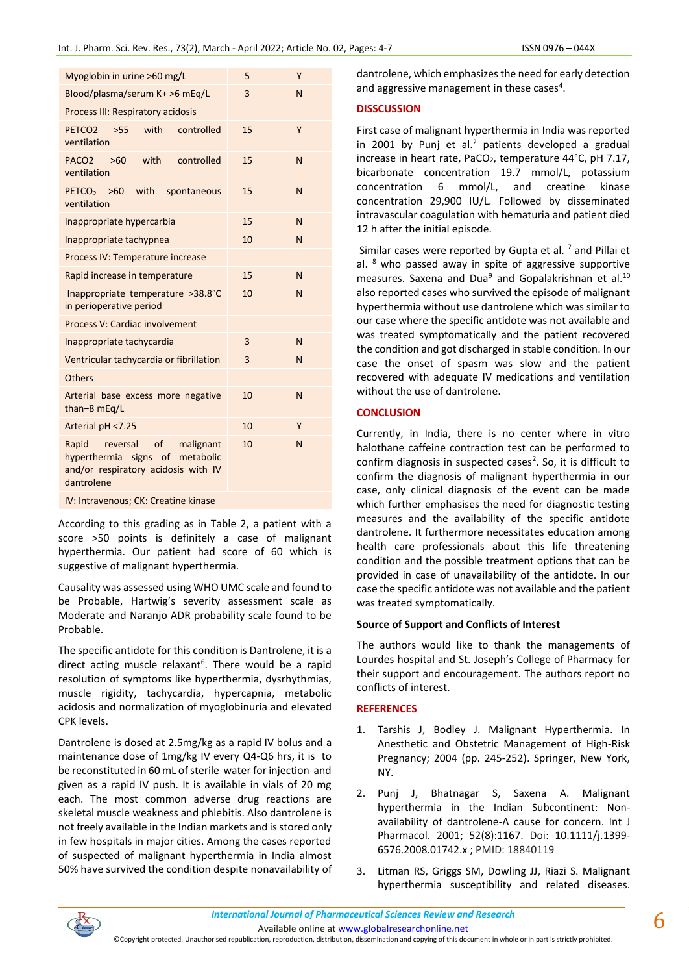|  | ISSN 0976-044 |  |
|--|---------------|--|
|  |               |  |

| Myoglobin in urine >60 mg/L                                                                                                  | 5  | Υ |
|------------------------------------------------------------------------------------------------------------------------------|----|---|
| Blood/plasma/serum K+ >6 mEg/L                                                                                               | 3  | N |
| Process III: Respiratory acidosis                                                                                            |    |   |
| with<br>PETCO <sub>2</sub><br>controlled<br>>55<br>ventilation                                                               | 15 | Y |
| PACO <sub>2</sub><br>with<br>controlled<br>>60<br>ventilation                                                                | 15 | N |
| PETCO <sub>2</sub><br>with<br>>60<br>spontaneous<br>ventilation                                                              | 15 | N |
| Inappropriate hypercarbia                                                                                                    | 15 | N |
| Inappropriate tachypnea                                                                                                      | 10 | N |
| Process IV: Temperature increase                                                                                             |    |   |
| Rapid increase in temperature                                                                                                | 15 | N |
| Inappropriate temperature >38.8°C<br>in perioperative period                                                                 | 10 | N |
| Process V: Cardiac involvement                                                                                               |    |   |
| Inappropriate tachycardia                                                                                                    | 3  | N |
| Ventricular tachycardia or fibrillation                                                                                      | 3  | N |
| Others                                                                                                                       |    |   |
| Arterial base excess more negative<br>than-8 mEq/L                                                                           | 10 | N |
| Arterial pH <7.25                                                                                                            | 10 | Y |
| of<br>reversal<br>Rapid<br>malignant<br>hyperthermia signs of metabolic<br>and/or respiratory acidosis with IV<br>dantrolene | 10 | N |
| IV: Intravenous; CK: Creatine kinase                                                                                         |    |   |

According to this grading as in Table 2, a patient with a score >50 points is definitely a case of malignant hyperthermia. Our patient had score of 60 which is suggestive of malignant hyperthermia.

Causality was assessed using WHO UMC scale and found to be Probable, Hartwig's severity assessment scale as Moderate and Naranjo ADR probability scale found to be Probable.

The specific antidote for this condition is Dantrolene, it is a direct acting muscle relaxant<sup>6</sup>. There would be a rapid resolution of symptoms like hyperthermia, dysrhythmias, muscle rigidity, tachycardia, hypercapnia, metabolic acidosis and normalization of myoglobinuria and elevated CPK levels.

Dantrolene is dosed at 2.5mg/kg as a rapid IV bolus and a maintenance dose of 1mg/kg IV every Q4-Q6 hrs, it is to be reconstituted in 60 mL of sterile water for injection and given as a rapid IV push. It is available in vials of 20 mg each. The most common adverse drug reactions are skeletal muscle weakness and phlebitis. Also dantrolene is not freely available in the Indian markets and is stored only in few hospitals in major cities. Among the cases reported of suspected of malignant hyperthermia in India almost 50% have survived the condition despite nonavailability of dantrolene, which emphasizes the need for early detection and aggressive management in these cases<sup>4</sup>.

# **DISSCUSSION**

First case of malignant hyperthermia in India was reported in 2001 by Punj et al. $<sup>2</sup>$  patients developed a gradual</sup> increase in heart rate, PaCO<sub>2</sub>, temperature 44°C, pH 7.17, bicarbonate concentration 19.7 mmol/L, potassium concentration 6 mmol/L, and creatine kinase concentration 29,900 IU/L. Followed by disseminated intravascular coagulation with hematuria and patient died 12 h after the initial episode.

Similar cases were reported by Gupta et al.  $<sup>7</sup>$  and Pillai et</sup> al. <sup>8</sup> who passed away in spite of aggressive supportive measures. Saxena and Dua $9$  and Gopalakrishnan et al.<sup>10</sup> also reported cases who survived the episode of malignant hyperthermia without use dantrolene which was similar to our case where the specific antidote was not available and was treated symptomatically and the patient recovered the condition and got discharged in stable condition. In our case the onset of spasm was slow and the patient recovered with adequate IV medications and ventilation without the use of dantrolene.

# **CONCLUSION**

Currently, in India, there is no center where in vitro halothane caffeine contraction test can be performed to confirm diagnosis in suspected cases<sup>2</sup>. So, it is difficult to confirm the diagnosis of malignant hyperthermia in our case, only clinical diagnosis of the event can be made which further emphasises the need for diagnostic testing measures and the availability of the specific antidote dantrolene. It furthermore necessitates education among health care professionals about this life threatening condition and the possible treatment options that can be provided in case of unavailability of the antidote. In our case the specific antidote was not available and the patient was treated symptomatically.

# **Source of Support and Conflicts of Interest**

The authors would like to thank the managements of Lourdes hospital and St. Joseph's College of Pharmacy for their support and encouragement. The authors report no conflicts of interest.

# **REFERENCES**

- 1. Tarshis J, Bodley J. Malignant Hyperthermia. In Anesthetic and Obstetric Management of High-Risk Pregnancy; 2004 (pp. 245-252). Springer, New York, NY.
- 2. Punj J, Bhatnagar S, Saxena A. Malignant hyperthermia in the Indian Subcontinent: Nonavailability of dantrolene-A cause for concern. Int J Pharmacol. 2001; 52(8):1167. Doi: 10.1111/j.1399- 6576.2008.01742.x ; PMID: 18840119
- 3. Litman RS, Griggs SM, Dowling JJ, Riazi S. Malignant hyperthermia susceptibility and related diseases.

Available online a[t www.globalresearchonline.net](http://www.globalresearchonline.net/)

©Copyright protected. Unauthorised republication, reproduction, distribution, dissemination and copying of this document in whole or in part is strictly prohibited.